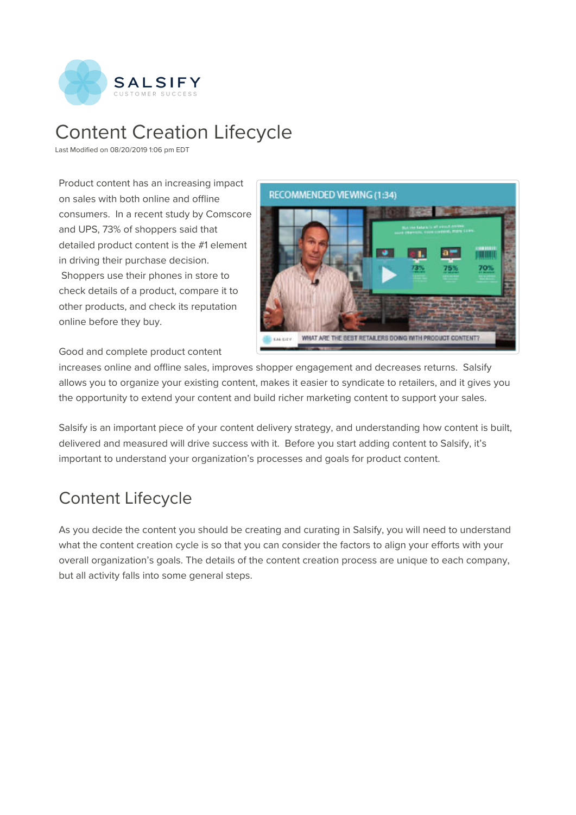

# Content Creation Lifecycle

Last Modified on 08/20/2019 1:06 pm EDT

Product content has an increasing impact on sales with both online and offline consumers. In a recent study by Comscore and UPS, 73% of shoppers said that detailed product content is the #1 element in driving their purchase decision. Shoppers use their phones in store to check details of a product, compare it to other products, and check its reputation



Good and complete product content

online before they buy.

increases online and offline sales, improves shopper engagement and decreases returns. Salsify allows you to organize your existing content, makes it easier to syndicate to retailers, and it gives you the opportunity to extend your content and build richer marketing content to support your sales.

Salsify is an important piece of your content delivery strategy, and understanding how content is built, delivered and measured will drive success with it. Before you start adding content to Salsify, it's important to understand your organization's processes and goals for product content.

# Content Lifecycle

As you decide the content you should be creating and curating in Salsify, you will need to understand what the content creation cycle is so that you can consider the factors to align your efforts with your overall organization's goals. The details of the content creation process are unique to each company, but all activity falls into some general steps.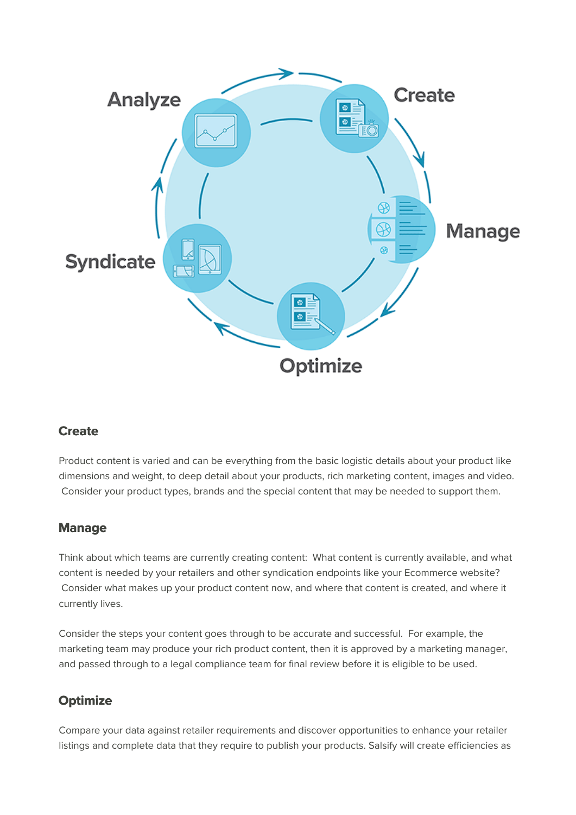

# **Create**

Product content is varied and can be everything from the basic logistic details about your product like dimensions and weight, to deep detail about your products, rich marketing content, images and video. Consider your product types, brands and the special content that may be needed to support them.

#### **Manage**

Think about which teams are currently creating content: What content is currently available, and what content is needed by your retailers and other syndication endpoints like your Ecommerce website? Consider what makes up your product content now, and where that content is created, and where it currently lives.

Consider the steps your content goes through to be accurate and successful. For example, the marketing team may produce your rich product content, then it is approved by a marketing manager, and passed through to a legal compliance team for final review before it is eligible to be used.

# **Optimize**

Compare your data against retailer requirements and discover opportunities to enhance your retailer listings and complete data that they require to publish your products. Salsify will create efficiencies as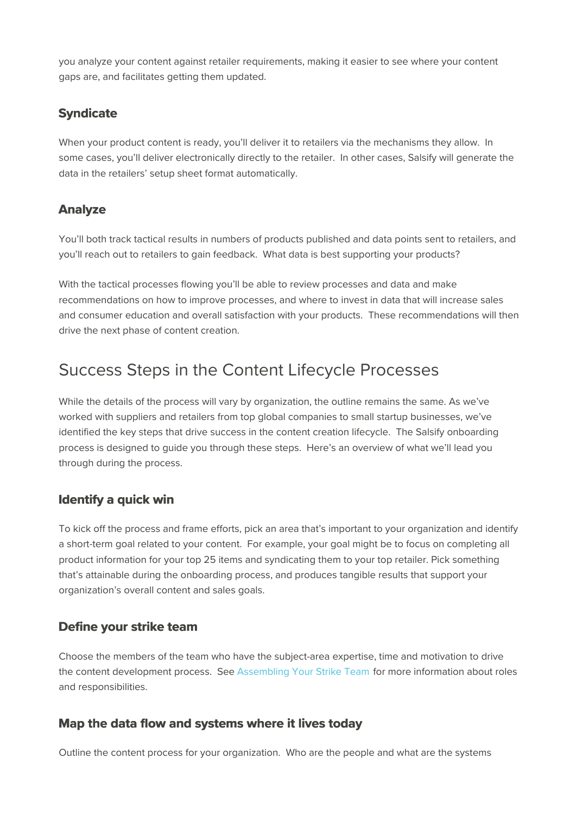you analyze your content against retailer requirements, making it easier to see where your content gaps are, and facilitates getting them updated.

# **Syndicate**

When your product content is ready, you'll deliver it to retailers via the mechanisms they allow. In some cases, you'll deliver electronically directly to the retailer. In other cases, Salsify will generate the data in the retailers' setup sheet format automatically.

### **Analyze**

You'll both track tactical results in numbers of products published and data points sent to retailers, and you'll reach out to retailers to gain feedback. What data is best supporting your products?

With the tactical processes flowing you'll be able to review processes and data and make recommendations on how to improve processes, and where to invest in data that will increase sales and consumer education and overall satisfaction with your products. These recommendations will then drive the next phase of content creation.

# Success Steps in the Content Lifecycle Processes

While the details of the process will vary by organization, the outline remains the same. As we've worked with suppliers and retailers from top global companies to small startup businesses, we've identified the key steps that drive success in the content creation lifecycle. The Salsify onboarding process is designed to guide you through these steps. Here's an overview of what we'll lead you through during the process.

# **Identify a quick win**

To kick off the process and frame efforts, pick an area that's important to your organization and identify a short-term goal related to your content. For example, your goal might be to focus on completing all product information for your top 25 items and syndicating them to your top retailer. Pick something that's attainable during the onboarding process, and produces tangible results that support your organization's overall content and sales goals.

#### **Define your strike team**

Choose the members of the team who have the subject-area expertise, time and motivation to drive the content development process. See Assembling Your Strike Team for more information about roles and responsibilities.

#### **Map the data flow and systems where it lives today**

Outline the content process for your organization. Who are the people and what are the systems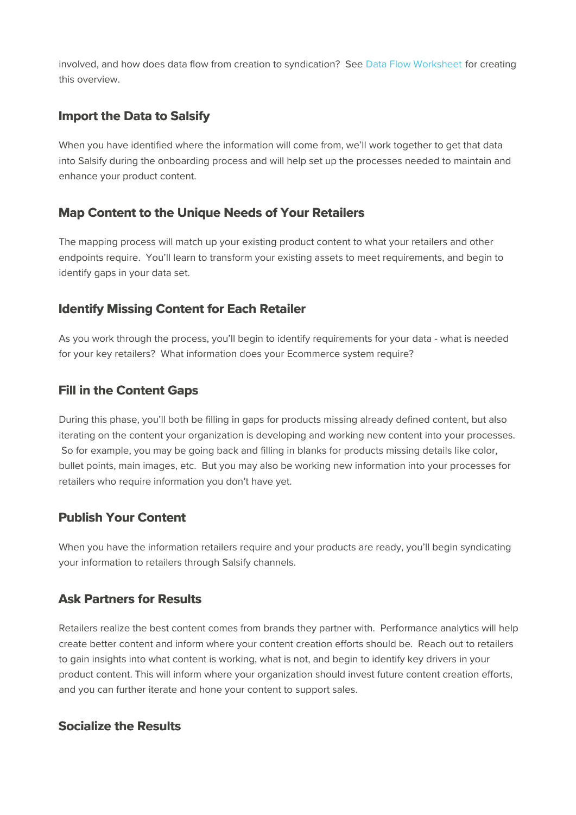involved, and how does data flow from creation to syndication? See Data Flow Worksheet for creating this overview.

# **Import the Data to Salsify**

When you have identified where the information will come from, we'll work together to get that data into Salsify during the onboarding process and will help set up the processes needed to maintain and enhance your product content.

# **Map Content to the Unique Needs of Your Retailers**

The mapping process will match up your existing product content to what your retailers and other endpoints require. You'll learn to transform your existing assets to meet requirements, and begin to identify gaps in your data set.

### **Identify Missing Content for Each Retailer**

As you work through the process, you'll begin to identify requirements for your data - what is needed for your key retailers? What information does your Ecommerce system require?

# **Fill in the Content Gaps**

During this phase, you'll both be filling in gaps for products missing already defined content, but also iterating on the content your organization is developing and working new content into your processes. So for example, you may be going back and filling in blanks for products missing details like color, bullet points, main images, etc. But you may also be working new information into your processes for retailers who require information you don't have yet.

# **Publish Your Content**

When you have the information retailers require and your products are ready, you'll begin syndicating your information to retailers through Salsify channels.

#### **Ask Partners for Results**

Retailers realize the best content comes from brands they partner with. Performance analytics will help create better content and inform where your content creation efforts should be. Reach out to retailers to gain insights into what content is working, what is not, and begin to identify key drivers in your product content. This will inform where your organization should invest future content creation efforts, and you can further iterate and hone your content to support sales.

#### **Socialize the Results**